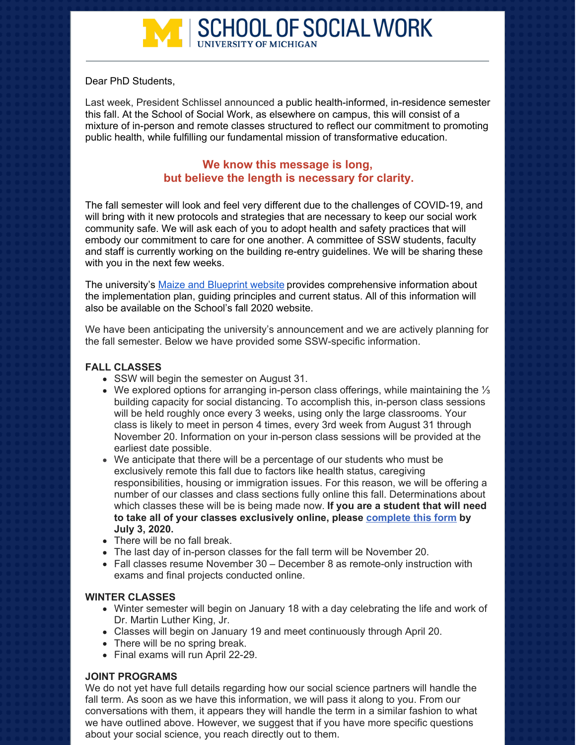

Dear PhD Students,

Last week, President Schlissel announced a public health-informed, in-residence semester this fall. At the School of Social Work, as elsewhere on campus, this will consist of a mixture of in-person and remote classes structured to reflect our commitment to promoting public health, while fulfilling our fundamental mission of transformative education.

# **We know this message is long, but believe the length is necessary for clarity.**

The fall semester will look and feel very different due to the challenges of COVID-19, and will bring with it new protocols and strategies that are necessary to keep our social work community safe. We will ask each of you to adopt health and safety practices that will embody our commitment to care for one another. A committee of SSW students, faculty and staff is currently working on the building re-entry guidelines. We will be sharing these with you in the next few weeks.

The university's Maize and [Blueprint](https://campusblueprint.umich.edu/) website provides comprehensive information about the implementation plan, guiding principles and current status. All of this information will also be available on the School's fall 2020 website.

We have been anticipating the university's announcement and we are actively planning for the fall semester. Below we have provided some SSW-specific information.

#### **FALL CLASSES**

- SSW will begin the semester on August 31.
- We explored options for arranging in-person class offerings, while maintaining the ⅓ building capacity for social distancing. To accomplish this, in-person class sessions will be held roughly once every 3 weeks, using only the large classrooms. Your class is likely to meet in person 4 times, every 3rd week from August 31 through November 20. Information on your in-person class sessions will be provided at the earliest date possible.
- We anticipate that there will be a percentage of our students who must be exclusively remote this fall due to factors like health status, caregiving responsibilities, housing or immigration issues. For this reason, we will be offering a number of our classes and class sections fully online this fall. Determinations about which classes these will be is being made now. **If you are a student that will need to take all of your classes exclusively online, please [complete](https://docs.google.com/forms/d/e/1FAIpQLSeMlMwHN9mmUtrQQAm2ic0Y1kedyoqpUy1YH_YlI6gnsVjIWQ/viewform?vc=0&c=0&w=1) this form by July 3, 2020.**
- There will be no fall break.
- The last day of in-person classes for the fall term will be November 20.
- Fall classes resume November 30 December 8 as remote-only instruction with exams and final projects conducted online.

#### **WINTER CLASSES**

- Winter semester will begin on January 18 with a day celebrating the life and work of Dr. Martin Luther King, Jr.
- Classes will begin on January 19 and meet continuously through April 20.
- There will be no spring break.
- Final exams will run April 22-29.

#### **JOINT PROGRAMS**

We do not yet have full details regarding how our social science partners will handle the fall term. As soon as we have this information, we will pass it along to you. From our conversations with them, it appears they will handle the term in a similar fashion to what we have outlined above. However, we suggest that if you have more specific questions about your social science, you reach directly out to them.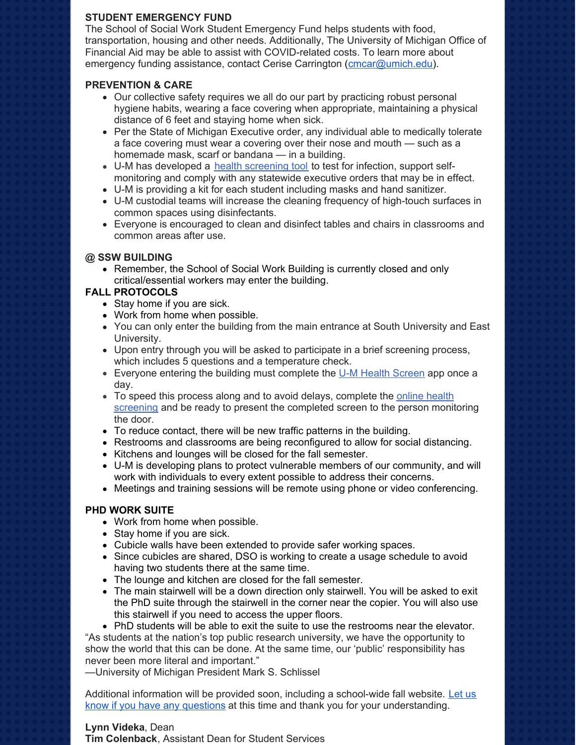## **STUDENT EMERGENCY FUND**

The School of Social Work Student Emergency Fund helps students with food, transportation, housing and other needs. Additionally, The University of Michigan Office of Financial Aid may be able to assist with COVID-related costs. To learn more about emergency funding assistance, contact Cerise Carrington [\(cmcar@umich.edu](mailto:cmcar@umich.edu)).

## **PREVENTION & CARE**

- Our collective safety requires we all do our part by practicing robust personal hygiene habits, wearing a face covering when appropriate, maintaining a physical distance of 6 feet and staying home when sick.
- Per the State of Michigan Executive order, any individual able to medically tolerate a face covering must wear a covering over their nose and mouth — such as a homemade mask, scarf or bandana — in a building.
- U-M has developed a health [screening](https://healthscreen.umich.edu/) too[l](https://healthscreen.umich.edu/) to test for infection, support selfmonitoring and comply with any statewide executive orders that may be in effect.
- U-M is providing a kit for each student including masks and hand sanitizer.
- U-M custodial teams will increase the cleaning frequency of high-touch surfaces in common spaces using disinfectants.
- Everyone is encouraged to clean and disinfect tables and chairs in classrooms and common areas after use.

# **@ SSW BUILDING**

Remember, the School of Social Work Building is currently closed and only critical/essential workers may enter the building.

# **FALL PROTOCOLS**

- Stay home if you are sick.
- Work from home when possible.
- You can only enter the building from the main entrance at South University and East University.
- Upon entry through you will be asked to participate in a brief screening process, which includes 5 questions and a temperature check.
- **Everyone entering the building must complete the U-M Health [Screen](https://healthscreen.umich.edu/) app once a** day.
- To speed this process along and to avoid delays, complete the online health screening and be ready to present the [completed](https://healthscreen.umich.edu/) screen to the person monitoring the door.
- To reduce contact, there will be new traffic patterns in the building.
- Restrooms and classrooms are being reconfigured to allow for social distancing.
- Kitchens and lounges will be closed for the fall semester.
- U-M is developing plans to protect vulnerable members of our community, and will work with individuals to every extent possible to address their concerns.
- Meetings and training sessions will be remote using phone or video conferencing.

## **PHD WORK SUITE**

- Work from home when possible.
- Stay home if you are sick.
- Cubicle walls have been extended to provide safer working spaces.
- Since cubicles are shared, DSO is working to create a usage schedule to avoid having two students there at the same time.
- The lounge and kitchen are closed for the fall semester.
- The main stairwell will be a down direction only stairwell. You will be asked to exit the PhD suite through the stairwell in the corner near the copier. You will also use this stairwell if you need to access the upper floors.
- PhD students will be able to exit the suite to use the restrooms near the elevator.

"As students at the nation's top public research university, we have the opportunity to show the world that this can be done. At the same time, our 'public' responsibility has never been more literal and important."

—University of Michigan President Mark S. Schlissel

Additional information will be provided soon, including a school-wide fall website. Let us know if you have any questions at this time and thank you for your [understanding.](https://ssw.umich.edu/r/7EM)

# **Lynn Videka**, Dean

**Tim Colenback**, Assistant Dean for Student Services